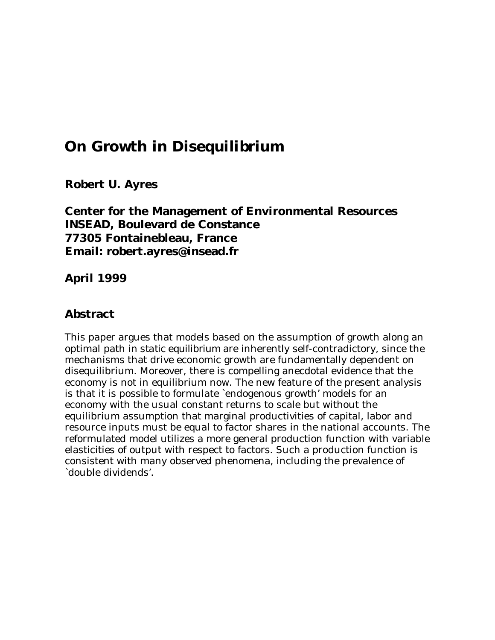# **On Growth in Disequilibrium**

**Robert U. Ayres**

**Center for the Management of Environmental Resources INSEAD, Boulevard de Constance 77305 Fontainebleau, France Email: robert.ayres@insead.fr**

**April 1999**

### **Abstract**

This paper argues that models based on the assumption of growth along an optimal path *in static equilibrium* are inherently self-contradictory, since the mechanisms that drive economic growth are fundamentally dependent on disequilibrium. Moreover, there is compelling anecdotal evidence that the economy is not in equilibrium now. The new feature of the present analysis is that it is possible to formulate `endogenous growth' models for an economy with the usual constant returns to scale but without the equilibrium assumption that marginal productivities of capital, labor and resource inputs must be equal to factor shares in the national accounts. The reformulated model utilizes a more general production function with variable elasticities of output with respect to factors. Such a production function is consistent with many observed phenomena, including the prevalence of `double dividends'.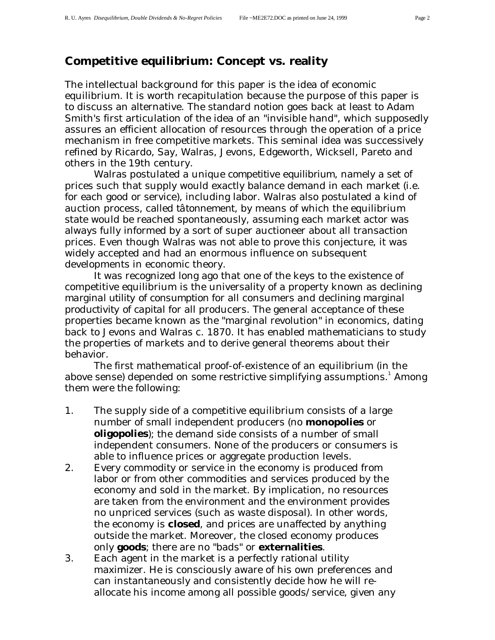# **Competitive equilibrium: Concept vs. reality**

The intellectual background for this paper is the idea of economic equilibrium. It is worth recapitulation because the purpose of this paper is to discuss an alternative. The standard notion goes back at least to Adam Smith's first articulation of the idea of an "invisible hand", which supposedly assures an efficient allocation of resources through the operation of a price mechanism in free competitive markets. This seminal idea was successively refined by Ricardo, Say, Walras, Jevons, Edgeworth, Wicksell, Pareto and others in the 19th century.

Walras postulated a unique *competitive equilibrium*, namely a set of prices such that supply would exactly balance demand in each market (i.e. for each good or service), including labor. Walras also postulated a kind of auction process, called *tâtonnement*, by means of which the equilibrium state would be reached spontaneously, assuming each market actor was always fully informed by a sort of super auctioneer about all transaction prices. Even though Walras was not able to prove this conjecture, it was widely accepted and had an enormous influence on subsequent developments in economic theory.

It was recognized long ago that one of the keys to the existence of competitive equilibrium is the universality of a property known as *declining marginal utility of consumption* for all consumers and *declining marginal productivity of capital* for all producers. The general acceptance of these properties became known as the "marginal revolution" in economics, dating back to Jevons and Walras c. 1870. It has enabled mathematicians to study the properties of markets and to derive general theorems about their behavior.

The first mathematical proof-of-existence of an equilibrium (in the above sense) depended on some restrictive simplifying assumptions. $^{\rm 1}$  Among them were the following:

- 1. The supply side of a competitive equilibrium consists of a large number of small independent producers (no **monopolies** or **oligopolies**); the demand side consists of a number of small independent consumers. None of the producers or consumers is able to influence prices or aggregate production levels.
- 2. Every commodity or service in the economy is produced from labor or from other commodities and services produced by the economy and sold in the market. By implication, no resources are taken from the environment and the environment provides no unpriced services (such as waste disposal). In other words, the economy is **closed**, and prices are unaffected by anything outside the market. Moreover, the closed economy produces only **goods**; there are no "bads" or **externalities**.
- 3. Each agent in the market is a perfectly rational utility maximizer. He is consciously aware of his own preferences and can instantaneously and consistently decide how he will reallocate his income among all possible goods/service, given any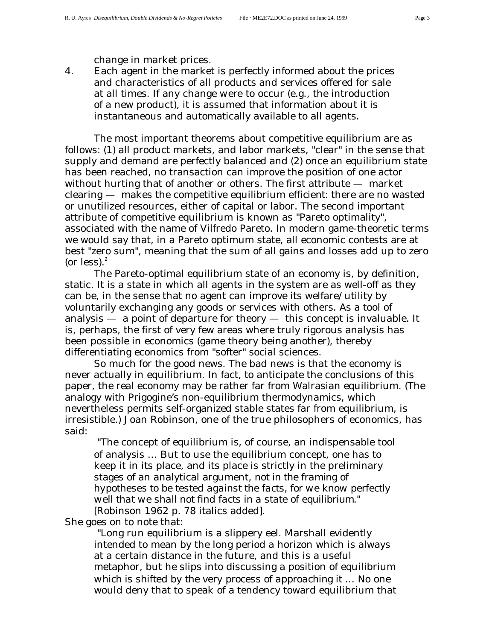change in market prices.

4. Each agent in the market is perfectly informed about the prices and characteristics of all products and services offered for sale at all times. If any change *were* to occur (e.g., the introduction of a new product), it is assumed that information about it is instantaneous and automatically available to all agents.

The most important theorems about competitive equilibrium are as follows: (1) all product markets, and labor markets, "clear" in the sense that supply and demand are perfectly balanced and (2) once an equilibrium state has been reached, no transaction can improve the position of one actor without hurting that of another or others. The first attribute — market clearing — makes the competitive equilibrium *efficient*: there are no wasted or unutilized resources, either of capital or labor. The second important attribute of competitive equilibrium is known as "Pareto optimality", associated with the name of Vilfredo Pareto. In modern game-theoretic terms we would say that, in a Pareto optimum state, all economic contests are at best "zero sum", meaning that the sum of all gains and losses add up to zero (or less). $<sup>2</sup>$ </sup>

The Pareto-optimal equilibrium state of an economy is, by definition, static. It is a state in which all agents in the system are as well-off as they can be, in the sense that no agent can improve its welfare/utility by voluntarily exchanging any goods or services with others. As a tool of analysis — a point of departure for theory — this concept is invaluable. It is, perhaps, the first of very few areas where truly rigorous analysis has been possible in economics (game theory being another), thereby differentiating economics from "softer" social sciences.

So much for the good news. The bad news is that the economy is never actually in equilibrium. In fact, to anticipate the conclusions of this paper, the real economy may be rather far from Walrasian equilibrium. (The analogy with Prigogine's non-equilibrium thermodynamics, which nevertheless permits self-organized stable states far from equilibrium, is irresistible.) Joan Robinson, one of the true philosophers of economics, has said:

 "The concept of equilibrium is, of course, an indispensable tool of analysis … But to use the equilibrium concept, one has to keep it in its place, and its place is strictly in the preliminary stages of an analytical argument, *not in the framing of hypotheses to be tested against the facts, for we know perfectly well that we shall not find facts in a state of equilibrium."* [Robinson 1962 p. 78 italics added].

She goes on to note that:

 "Long run equilibrium is a slippery eel. Marshall evidently intended to mean by the long period a horizon which is always at a certain distance in the future, and this is a useful metaphor, but he slips into discussing a position of equilibrium *which is shifted by the very process of approaching it* … No one would deny that to speak of a tendency toward equilibrium that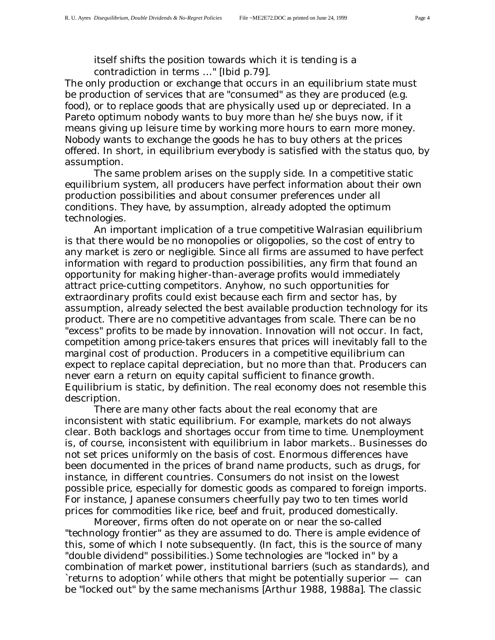itself shifts the position towards which it is tending is a contradiction in terms …" [Ibid p.79].

The only production or exchange that occurs in an equilibrium state must be production of services that are "consumed" as they are produced (e.g. food), or to replace goods that are physically used up or depreciated. In a Pareto optimum nobody wants to buy more than he/she buys now, if it means giving up leisure time by working more hours to earn more money. Nobody wants to exchange the goods he has to buy others at the prices offered. In short, in equilibrium everybody is satisfied with the *status quo*, by assumption.

The same problem arises on the supply side. In a competitive static equilibrium system, all producers have perfect information about their own production possibilities and about consumer preferences under all conditions. They have, by assumption, already adopted the optimum technologies.

An important implication of a true competitive Walrasian equilibrium is that there would be no monopolies or oligopolies, so the cost of entry to any market is zero or negligible. Since all firms are assumed to have perfect information with regard to production possibilities, any firm that found an opportunity for making higher-than-average profits would immediately attract price-cutting competitors. Anyhow, no such opportunities for extraordinary profits could exist because each firm and sector has, by assumption, already selected the best available production technology for its product. There are no competitive advantages from scale. There can be no "excess" profits to be made by innovation. Innovation will not occur. In fact, competition among price-takers ensures that prices will inevitably fall to the *marginal* cost of production. Producers in a competitive equilibrium can expect to replace capital depreciation, but no more than that. Producers can never earn a return on equity capital sufficient to finance growth. Equilibrium is static, by definition. The real economy does not resemble this description.

There are many other facts about the real economy that are inconsistent with static equilibrium. For example, markets do not always clear. Both backlogs and shortages occur from time to time. Unemployment is, of course, inconsistent with equilibrium in labor markets.. Businesses do not set prices uniformly on the basis of cost. Enormous differences have been documented in the prices of brand name products, such as drugs, for instance, in different countries. Consumers do not insist on the lowest possible price, especially for domestic goods as compared to foreign imports. For instance, Japanese consumers cheerfully pay two to ten times world prices for commodities like rice, beef and fruit, produced domestically.

Moreover, firms often do not operate on or near the so-called "technology frontier" as they are assumed to do. There is ample evidence of this, some of which I note subsequently. (In fact, this is the source of many "double dividend" possibilities.) Some technologies are "locked in" by a combination of market power, institutional barriers (such as standards), and `returns to adoption' while others that might be potentially superior — can be "locked out" by the same mechanisms [Arthur 1988, 1988a]. The classic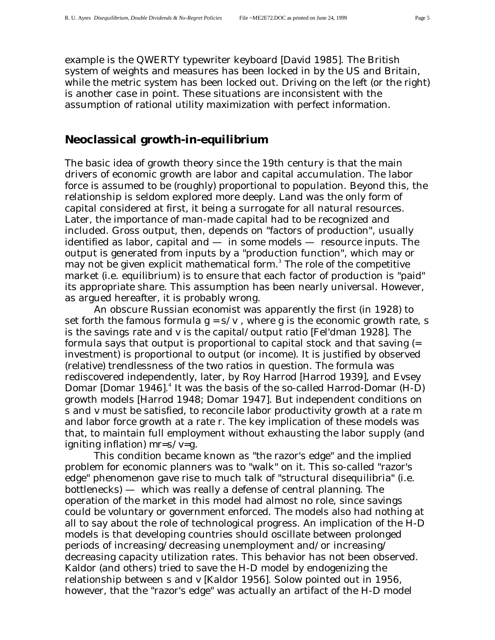example is the QWERTY typewriter keyboard [David 1985]. The British system of weights and measures has been locked in by the US and Britain, while the metric system has been locked out. Driving on the left (or the right) is another case in point. These situations are inconsistent with the assumption of rational utility maximization with perfect information.

### **Neoclassical growth-in-equilibrium**

The basic idea of growth theory since the 19th century is that the main drivers of economic growth are labor and capital accumulation. The labor force is assumed to be (roughly) proportional to population. Beyond this, the relationship is seldom explored more deeply. Land was the only form of capital considered at first, it being a surrogate for all natural resources. Later, the importance of man-made capital had to be recognized and included. Gross output, then, depends on "factors of production", usually identified as labor, capital and  $-$  in some models  $-$  resource inputs. The output is generated from inputs by a "production function", which may or may not be given explicit mathematical form. $^3$  The role of the competitive market (i.e. equilibrium) is to ensure that each factor of production is "paid" its appropriate share. This assumption has been nearly universal. However, as argued hereafter, it is probably wrong.

An obscure Russian economist was apparently the first (in 1928) to set forth the famous formula  $g = s/v$ , where g is the economic growth rate, *s* is the savings rate and *v* is the capital/output ratio [Fel'dman 1928]. The formula says that output is proportional to capital stock and that saving (= investment) is proportional to output (or income). It is justified by observed (relative) trendlessness of the two ratios in question. The formula was rediscovered independently, later, by Roy Harrod [Harrod 1939], and Evsey Domar [Domar 1946].<sup>4</sup> It was the basis of the so-called Harrod-Domar (H-D) growth models [Harrod 1948; Domar 1947]. But independent conditions on s and v must be satisfied, to reconcile labor productivity growth at a rate m and labor force growth at a rate r. The key implication of these models was that, to maintain full employment without exhausting the labor supply (and igniting inflation) *mr=s/v=g.*

This condition became known as "the razor's edge" and the implied problem for economic planners was to "walk" on it. This so-called "razor's edge" phenomenon gave rise to much talk of "structural disequilibria" (i.e. bottlenecks) — which was really a defense of central planning. The operation of the market in this model had almost no role, since savings could be voluntary or government enforced. The models also had nothing at all to say about the role of technological progress. An implication of the H-D models is that developing countries should oscillate between prolonged periods of increasing/decreasing unemployment and/or increasing/ decreasing capacity utilization rates. This behavior has not been observed. Kaldor (and others) tried to save the H-D model by endogenizing the relationship between s and v [Kaldor 1956]. Solow pointed out in 1956, however, that the "razor's edge" was actually an artifact of the H-D model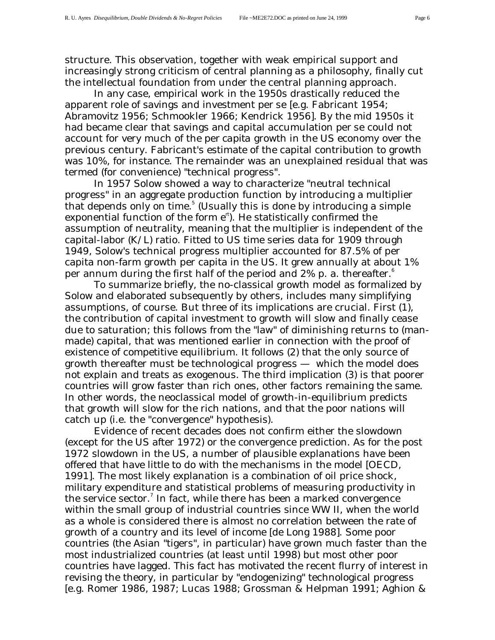structure. This observation, together with weak empirical support and increasingly strong criticism of central planning as a philosophy, finally cut the intellectual foundation from under the central planning approach.

In any case, empirical work in the 1950s drastically reduced the apparent role of savings and investment *per se* [e.g. Fabricant 1954; Abramovitz 1956; Schmookler 1966; Kendrick 1956]. By the mid 1950s it had became clear that savings and capital accumulation *per se* could not account for very much of the *per capita* growth in the US economy over the previous century. Fabricant's estimate of the capital contribution to growth was 10%, for instance. The remainder was an unexplained residual that was termed (for convenience) "technical progress".

In 1957 Solow showed a way to characterize "neutral technical progress" in an aggregate production function by introducing a multiplier that depends only on time. $5$  (Usually this is done by introducing a simple exponential function of the form e<sup>rt</sup>). He statistically confirmed the assumption of neutrality, meaning that the multiplier is independent of the capital-labor (K/L) ratio. Fitted to US time series data for 1909 through 1949, Solow's technical progress multiplier accounted for 87.5% of per capita non-farm growth per capita in the US. It grew annually at about 1% per annum during the first half of the period and  $2\%$  p. a. thereafter.<sup>6</sup>

To summarize briefly, the no-classical growth model as formalized by Solow and elaborated subsequently by others, includes many simplifying assumptions, of course. But three of its implications are crucial. First (1), the contribution of capital investment to growth will slow and finally cease due to saturation; this follows from the "law" of diminishing returns to (manmade) capital, that was mentioned earlier in connection with the proof of existence of competitive equilibrium. It follows (2) that the *only* source of growth thereafter must be technological progress — which the model does not explain and treats as exogenous. The third implication (3) is that poorer countries will grow faster than rich ones, other factors remaining the same. In other words, the neoclassical model of growth-in-equilibrium predicts that growth will slow for the rich nations, and that the poor nations will catch up (i.e. the "convergence" hypothesis).

Evidence of recent decades does not confirm either the slowdown (except for the US after 1972) or the convergence prediction. As for the post 1972 slowdown in the US, a number of plausible explanations have been offered that have little to do with the mechanisms in the model [OECD, 1991]. The most likely explanation is a combination of oil price shock, military expenditure and statistical problems of measuring productivity in the service sector. $^7$  In fact, while there has been a marked convergence within the small group of industrial countries since WW II, when the world as a whole is considered there is almost no correlation between the rate of growth of a country and its level of income [de Long 1988]. Some poor countries (the Asian "tigers", in particular) have grown much faster than the most industrialized countries (at least until 1998) but most other poor countries have lagged. This fact has motivated the recent flurry of interest in revising the theory, in particular by "endogenizing" technological progress [e.g. Romer 1986, 1987; Lucas 1988; Grossman & Helpman 1991; Aghion &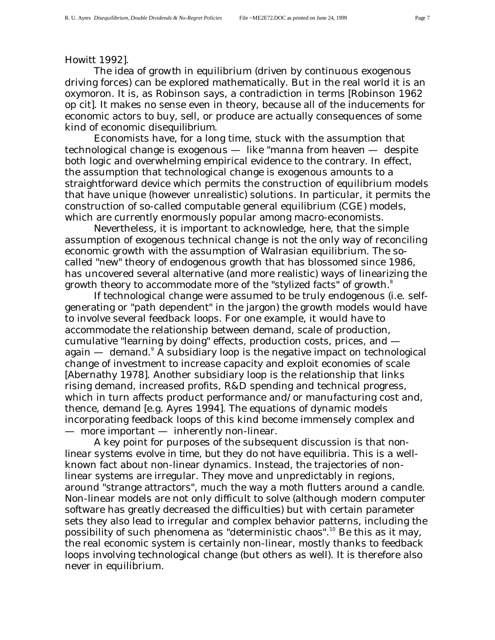### Howitt 1992].

The idea of *growth* in equilibrium (driven by continuous exogenous driving forces) can be explored mathematically. But in the real world it is an oxymoron. It is, as Robinson says, a contradiction in terms [Robinson 1962 op cit]. It makes no sense even in theory, because all of the inducements for economic actors to buy, sell, or produce are actually consequences of some kind of economic *disequilibrium*.

Economists have, for a long time, stuck with the assumption that technological change is exogenous — like "manna from heaven — despite both logic and overwhelming empirical evidence to the contrary. In effect, the assumption that technological change is exogenous amounts to a straightforward device which permits the construction of equilibrium models that have unique (however unrealistic) solutions. In particular, it permits the construction of so-called computable general equilibrium (CGE) models, which are currently enormously popular among macro-economists.

Nevertheless, it is important to acknowledge, here, that the simple assumption of exogenous technical change is not the only way of reconciling economic growth with the assumption of Walrasian equilibrium. The socalled "new" theory of endogenous growth that has blossomed since 1986, has uncovered several alternative (and more realistic) ways of linearizing the growth theory to accommodate more of the "stylized facts" of growth.<sup>8</sup>

If technological change were assumed to be truly endogenous (i.e. selfgenerating or "path dependent" in the jargon) the growth models would have to involve several feedback loops. For one example, it would have to accommodate the relationship between demand, scale of production, cumulative "learning by doing" effects, production costs, prices, and again  $-$  demand. $^{\circ}$  A subsidiary loop is the negative impact on technological change of investment to increase capacity and exploit economies of scale [Abernathy 1978]. Another subsidiary loop is the relationship that links rising demand, increased profits, R&D spending and technical progress, which in turn affects product performance and/or manufacturing cost and, thence, demand [e.g. Ayres 1994]. The equations of dynamic models incorporating feedback loops of this kind become immensely complex and — more important — inherently non-linear.

A key point for purposes of the subsequent discussion is that *nonlinear systems evolve in time, but they do not have equilibria*. This is a wellknown fact about non-linear dynamics. Instead, the trajectories of nonlinear systems are irregular. They move and unpredictably in regions, around "strange attractors", much the way a moth flutters around a candle. Non-linear models are not only difficult to solve (although modern computer software has greatly decreased the difficulties) but with certain parameter sets they also lead to irregular and complex behavior patterns, including the possibility of such phenomena as "deterministic chaos".<sup>10</sup> Be this as it may, the real economic system is certainly non-linear, mostly thanks to feedback loops involving technological change (but others as well). It is therefore also never in equilibrium.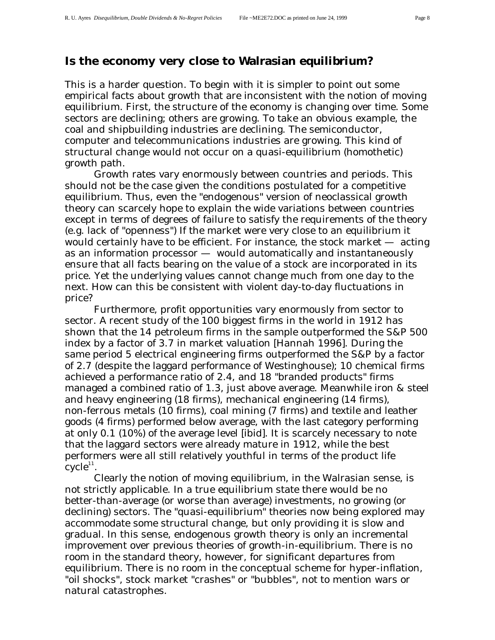# **Is the economy very close to Walrasian equilibrium?**

This is a harder question. To begin with it is simpler to point out some empirical facts about growth that are inconsistent with the notion of moving equilibrium. First, the structure of the economy is changing over time. Some sectors are declining; others are growing. To take an obvious example, the coal and shipbuilding industries are declining. The semiconductor, computer and telecommunications industries are growing. This kind of structural change would not occur on a quasi-equilibrium (homothetic) growth path.

Growth rates vary enormously between countries and periods. This should not be the case given the conditions postulated for a competitive equilibrium. Thus, even the "endogenous" version of neoclassical growth theory can scarcely hope to explain the wide variations between countries except in terms of degrees of failure to satisfy the requirements of the theory (e.g. lack of "openness") If the market were very close to an equilibrium it would certainly have to be efficient. For instance, the stock market — acting as an information processor — would automatically and instantaneously ensure that all facts bearing on the value of a stock are incorporated in its price. Yet the underlying values cannot change much from one day to the next. How can this be consistent with violent day-to-day fluctuations in price?

Furthermore, profit opportunities vary enormously from sector to sector. A recent study of the 100 biggest firms in the world in 1912 has shown that the 14 petroleum firms in the sample outperformed the S&P 500 index by a factor of 3.7 in market valuation [Hannah 1996]. During the same period 5 electrical engineering firms outperformed the S&P by a factor of 2.7 (despite the laggard performance of Westinghouse); 10 chemical firms achieved a performance ratio of 2.4, and 18 "branded products" firms managed a combined ratio of 1.3, just above average. Meanwhile iron & steel and heavy engineering (18 firms), mechanical engineering (14 firms), non-ferrous metals (10 firms), coal mining (7 firms) and textile and leather goods (4 firms) performed below average, with the last category performing at only 0.1 (10%) of the average level [ibid]. It is scarcely necessary to note that the laggard sectors were already mature in 1912, while the best performers were all still relatively youthful in terms of the product life  $cycle<sup>11</sup>$ .

Clearly the notion of moving equilibrium, in the Walrasian sense, is not strictly applicable. In a true equilibrium state there would be no better-than-average (or worse than average) investments, no growing (or declining) sectors. The "quasi-equilibrium" theories now being explored may accommodate some structural change, but only providing it is slow and gradual. In this sense, endogenous growth theory is only an incremental improvement over previous theories of growth-in-equilibrium. There is no room in the standard theory, however, for significant departures from equilibrium. There is no room in the conceptual scheme for hyper-inflation, "oil shocks", stock market "crashes" or "bubbles", not to mention wars or natural catastrophes.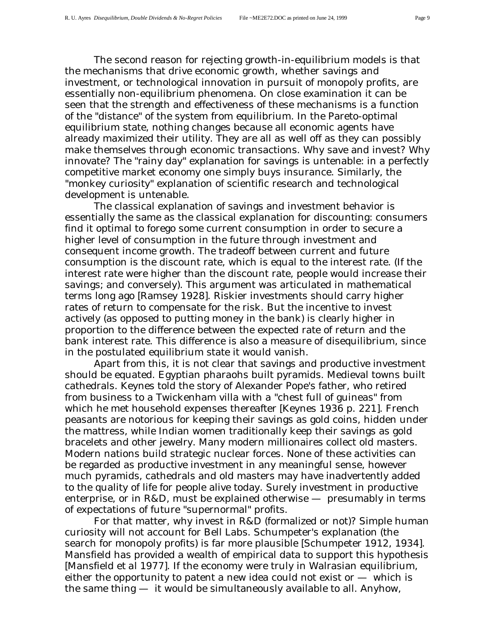The second reason for rejecting growth-in-equilibrium models is that the mechanisms that drive economic growth, whether savings and investment, or technological innovation in pursuit of monopoly profits, are essentially non-equilibrium phenomena. On close examination it can be seen that the strength and effectiveness of these mechanisms is a function of the "distance" of the system from equilibrium. In the Pareto-optimal equilibrium state, nothing changes because all economic agents have already maximized their utility. They are all as well off as they can possibly make themselves through economic transactions. Why save and invest? Why innovate? The "rainy day" explanation for savings is untenable: in a perfectly competitive market economy one simply buys insurance. Similarly, the "monkey curiosity" explanation of scientific research and technological development is untenable.

The classical explanation of savings and investment behavior is essentially the same as the classical explanation for discounting: consumers find it optimal to forego some current consumption in order to secure a higher level of consumption in the future through investment and consequent income growth. The tradeoff between current and future consumption is the discount rate, which is equal to the interest rate. (If the interest rate were higher than the discount rate, people would increase their savings; and conversely). This argument was articulated in mathematical terms long ago [Ramsey 1928]. Riskier investments should carry higher rates of return to compensate for the risk. But the incentive to invest actively (as opposed to putting money in the bank) is clearly higher in proportion to the difference between the expected rate of return and the bank interest rate. This difference is also a measure of disequilibrium, since in the postulated equilibrium state it would vanish.

Apart from this, it is not clear that savings and productive investment should be equated. Egyptian pharaohs built pyramids. Medieval towns built cathedrals. Keynes told the story of Alexander Pope's father, who retired from business to a Twickenham villa with a "chest full of guineas" from which he met household expenses thereafter [Keynes 1936 p. 221]. French peasants are notorious for keeping their savings as gold coins, hidden under the mattress, while Indian women traditionally keep their savings as gold bracelets and other jewelry. Many modern millionaires collect old masters. Modern nations build strategic nuclear forces. None of these activities can be regarded as productive investment in any meaningful sense, however much pyramids, cathedrals and old masters may have inadvertently added to the quality of life for people alive today. Surely investment in productive enterprise, or in R&D, must be explained otherwise — presumably in terms of expectations of future "supernormal" profits.

For that matter, why invest in R&D (formalized or not)? Simple human curiosity will not account for Bell Labs. Schumpeter's explanation (the search for monopoly profits) is far more plausible [Schumpeter 1912, 1934]. Mansfield has provided a wealth of empirical data to support this hypothesis [Mansfield *et al* 1977]. If the economy were truly in Walrasian equilibrium, either the opportunity to patent a new idea could not exist or  $-$  which is the same thing — it would be simultaneously available to all. Anyhow,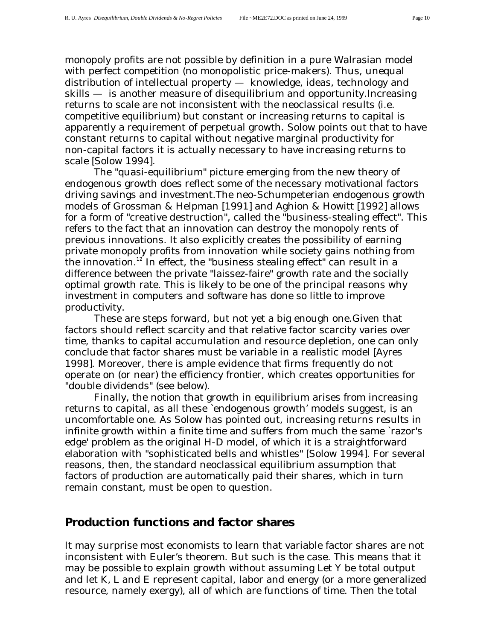monopoly profits are not possible by definition in a pure Walrasian model with perfect competition (no monopolistic price-makers). Thus, unequal distribution of intellectual property — knowledge, ideas, technology and skills — is another measure of disequilibrium and opportunity.Increasing returns to scale are not inconsistent with the neoclassical results (i.e. competitive equilibrium) but constant or increasing returns to capital is apparently a requirement of perpetual growth. Solow points out that to have constant returns to capital without negative marginal productivity for non-capital factors it is actually necessary to have increasing returns to scale [Solow 1994].

The "quasi-equilibrium" picture emerging from the new theory of endogenous growth does reflect some of the necessary motivational factors driving savings and investment.The neo-Schumpeterian endogenous growth models of Grossman & Helpman [1991] and Aghion & Howitt [1992] allows for a form of "creative destruction", called the "business-stealing effect". This refers to the fact that an innovation can destroy the monopoly rents of previous innovations. It also explicitly creates the possibility of earning private monopoly profits from innovation while society gains nothing from the innovation.<sup>12</sup> In effect, the "business stealing effect" can result in a difference between the private "laissez-faire" growth rate and the socially optimal growth rate. This is likely to be one of the principal reasons why investment in computers and software has done so little to improve productivity.

These are steps forward, but not yet a big enough one.Given that factors should reflect scarcity and that relative factor scarcity varies over time, thanks to capital accumulation and resource depletion, one can only conclude that factor shares must be variable in a realistic model [Ayres 1998]. Moreover, there is ample evidence that firms frequently do not operate on (or near) the efficiency frontier, which creates opportunities for "double dividends" (see below).

Finally, the notion that growth in equilibrium arises from increasing returns to capital, as all these `endogenous growth' models suggest, is an uncomfortable one. As Solow has pointed out, increasing returns results in infinite growth within a finite time and suffers from much the same `razor's edge' problem as the original H-D model, of which it is a straightforward elaboration with "sophisticated bells and whistles" [Solow 1994]. For several reasons, then, the standard neoclassical equilibrium assumption that factors of production are automatically paid their shares, which in turn remain constant, must be open to question.

### **Production functions and factor shares**

It may surprise most economists to learn that variable factor shares are not inconsistent with Euler's theorem. But such is the case. This means that it may be possible to explain growth without assuming Let *Y* be total output and let *K, L* and *E* represent capital, labor and energy (or a more generalized resource, namely exergy), all of which are functions of time. Then the total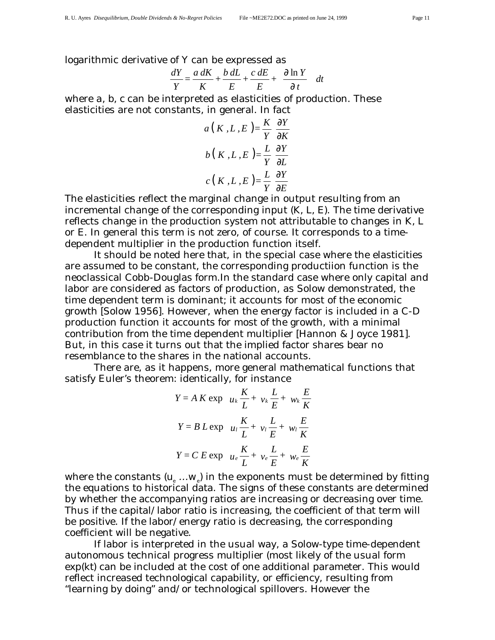logarithmic derivative of *Y* can be expressed as

$$
\frac{dY}{Y} = \frac{a \, dK}{K} + \frac{b \, dL}{E} + \frac{c \, dE}{E} + \left(\frac{\partial \ln Y}{\partial t}\right) dt
$$

where *a, b, c* can be interpreted as elasticities of production. These elasticities are not constants, in general. In fact

$$
a(K, L, E) = \frac{K}{Y} \frac{\partial Y}{\partial K}
$$

$$
b(K, L, E) = \frac{L}{Y} \frac{\partial Y}{\partial L}
$$

$$
c(K, L, E) = \frac{L}{Y} \frac{\partial Y}{\partial E}
$$

The elasticities reflect the marginal change in output resulting from an incremental change of the corresponding input (*K, L, E*). The time derivative reflects change in the production system not attributable to changes in *K, L* or *E*. In general this term is not zero, of course. It corresponds to a timedependent multiplier in the production function itself.

It should be noted here that, in the special case where the elasticities are assumed to be constant, the corresponding productiion function is the neoclassical Cobb-Douglas form.In the standard case where only capital and labor are considered as factors of production, as Solow demonstrated, the time dependent term is dominant; it accounts for most of the economic growth [Solow 1956]. However, when the energy factor is included in a C-D production function it accounts for most of the growth, with a minimal contribution from the time dependent multiplier [Hannon & Joyce 1981]. But, in this case it turns out that the implied factor shares bear no resemblance to the shares in the national accounts.

There are, as it happens, more general mathematical functions that satisfy Euler's theorem: identically, for instance

$$
Y = A K \exp\left(u_k \frac{K}{L} + v_k \frac{L}{E} + w_k \frac{E}{K}\right)
$$
  

$$
Y = B L \exp\left(u_l \frac{K}{L} + v_l \frac{L}{E} + w_l \frac{E}{K}\right)
$$
  

$$
Y = C E \exp\left(u_e \frac{K}{L} + v_e \frac{L}{E} + w_e \frac{E}{K}\right)
$$

where the constants  $(u_{e} \ldots w_{e})$  in the exponents must be determined by fitting the equations to historical data. The signs of these constants are determined by whether the accompanying ratios are increasing or decreasing over time. Thus if the capital/labor ratio is increasing, the coefficient of that term will be positive. If the labor/energy ratio is decreasing, the corresponding coefficient will be negative.

If labor is interpreted in the usual way, a Solow-type time-dependent autonomous technical progress multiplier (most likely of the usual form exp(*kt*) can be included at the cost of one additional parameter. This would reflect increased technological capability, or efficiency, resulting from "learning by doing" and/or technological spillovers. However the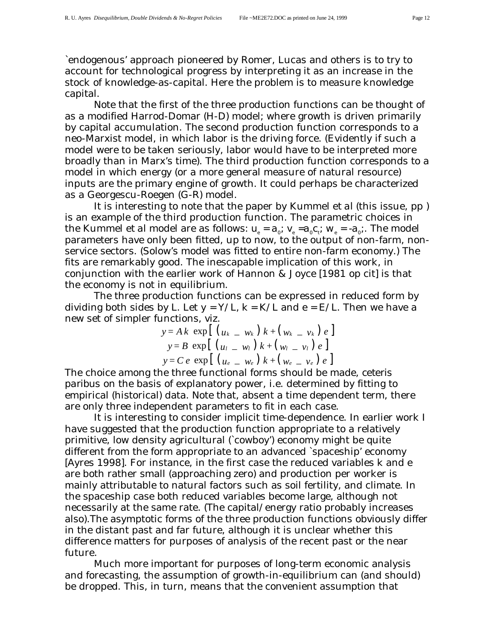`endogenous' approach pioneered by Romer, Lucas and others is to try to account for technological progress by interpreting it as an increase in the stock of knowledge-as-capital. Here the problem is to measure knowledge capital.

Note that the first of the three production functions can be thought of as a modified Harrod-Domar (H-D) model; where growth is driven primarily by capital accumulation. The second production function corresponds to a neo-Marxist model, in which labor is the driving force. (Evidently if such a model were to be taken seriously, labor would have to be interpreted more broadly than in Marx's time). The third production function corresponds to a model in which energy (or a more general measure of natural resource) inputs are the primary engine of growth. It could perhaps be characterized as a Georgescu-Roegen (G-R) model.

It is interesting to note that the paper by Kummel *et al* (this issue, pp ) is an example of the third production function. The parametric choices in the Kummel *et al* model are as follows:  $u_e = a_o$ ;  $v_e = a_0 c_i$ ;  $w_e = -a_0$ ;. The model parameters have only been fitted, up to now, to the output of non-farm, nonservice sectors. (Solow's model was fitted to entire non-farm economy.) The fits are remarkably good. The inescapable implication of this work, in conjunction with the earlier work of Hannon & Joyce [1981 op cit] is that the economy is not in equilibrium.

The three production functions can be expressed in reduced form by dividing both sides by *L*. Let  $y = Y/L$ ,  $k = K/L$  and  $e = E/L$ . Then we have a new set of simpler functions, viz.

$$
y = Ak \exp[(u_k - w_k) k + (w_k - v_k) e]
$$
  
\n
$$
y = B \exp[(u_l - w_l) k + (w_l - v_l) e]
$$
  
\n
$$
y = Ce \exp[(u_e - w_e) k + (w_e - v_e) e]
$$

The choice among the three functional forms should be made, *ceteris paribus* on the basis of explanatory power, i.e. determined by fitting to empirical (historical) data. Note that, absent a time dependent term, there are only three independent parameters to fit in each case.

It is interesting to consider implicit time-dependence. In earlier work I have suggested that the production function appropriate to a relatively primitive, low density agricultural (`cowboy') economy might be quite different from the form appropriate to an advanced `spaceship' economy [Ayres 1998]. For instance, in the first case the reduced variables *k* and *e* are both rather small (approaching zero) and production per worker is mainly attributable to natural factors such as soil fertility, and climate. In the spaceship case both reduced variables become large, although not necessarily at the same rate. (The capital/energy ratio probably increases also).The asymptotic forms of the three production functions obviously differ in the distant past and far future, although it is unclear whether this difference matters for purposes of analysis of the recent past or the near future.

Much more important for purposes of long-term economic analysis and forecasting, the assumption of growth-in-equilibrium can (and should) be dropped. This, in turn, means that the convenient assumption that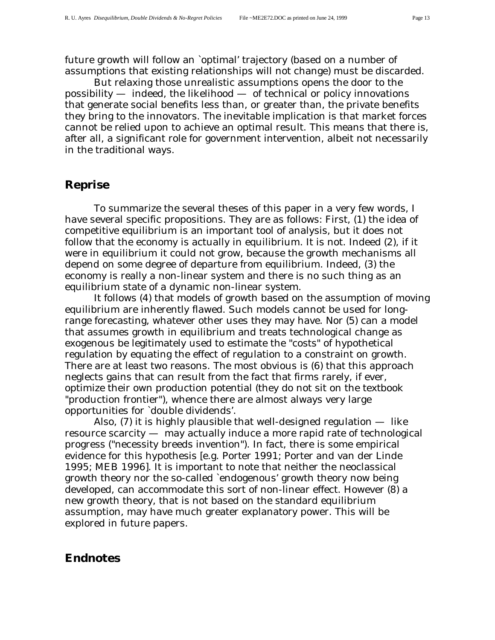future growth will follow an `optimal' trajectory (based on a number of assumptions that existing relationships will not change) must be discarded.

But relaxing those unrealistic assumptions opens the door to the possibility — indeed, the likelihood — of technical or policy innovations that generate social benefits less than, or greater than, the private benefits they bring to the innovators. The inevitable implication is that market forces cannot be relied upon to achieve an optimal result. This means that there is, after all, a significant role for government intervention, albeit not necessarily in the traditional ways.

### **Reprise**

To summarize the several theses of this paper in a very few words, I have several specific propositions. They are as follows: First, (1) the idea of competitive equilibrium is an important tool of analysis, but it does not follow that the economy is actually in equilibrium. It is not. Indeed (2), if it were in equilibrium it could not grow, because the growth mechanisms all depend on some degree of departure from equilibrium. Indeed, (3) the economy is really a non-linear system and there is no such thing as an equilibrium state of a dynamic non-linear system.

It follows (4) that models of growth based on the assumption of moving equilibrium are inherently flawed. Such models cannot be used for longrange forecasting, whatever other uses they may have. Nor (5) can a model that assumes growth in equilibrium and treats technological change as exogenous be legitimately used to estimate the "costs" of hypothetical regulation by equating the effect of regulation to a constraint on growth. There are at least two reasons. The most obvious is (6) that this approach neglects gains that can result from the fact that firms rarely, if ever, optimize their own production potential (they do not sit on the textbook "production frontier"), whence there are almost always very large opportunities for `double dividends'.

Also, (7) it is highly plausible that well-designed regulation — like resource scarcity — may actually induce a more rapid rate of technological progress ("necessity breeds invention"). In fact, there is some empirical evidence for this hypothesis [e.g. Porter 1991; Porter and van der Linde 1995; MEB 1996]. It is important to note that neither the neoclassical growth theory nor the so-called `endogenous' growth theory now being developed, can accommodate this sort of non-linear effect. However (8) a new growth theory, that is not based on the standard equilibrium assumption, may have much greater explanatory power. This will be explored in future papers.

#### **Endnotes**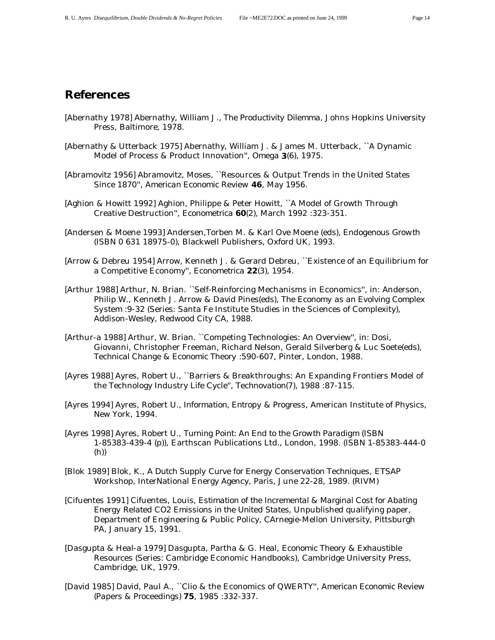# **References**

- [Abernathy 1978] Abernathy, William J., *The Productivity Dilemma*, Johns Hopkins University Press, Baltimore, 1978.
- [Abernathy & Utterback 1975] Abernathy, William J. & James M. Utterback, ``A Dynamic Model of Process & Product Innovation'', *Omega* **3**(6), 1975.
- [Abramovitz 1956] Abramovitz, Moses, ``Resources & Output Trends in the United States Since 1870'', *American Economic Review* **46**, May 1956.
- [Aghion & Howitt 1992] Aghion, Philippe & Peter Howitt, ``A Model of Growth Through Creative Destruction'', *Econometrica* **60**(2), March 1992 :323-351.
- [Andersen & Moene 1993] Andersen,Torben M. & Karl Ove Moene (eds), *Endogenous Growth* (ISBN 0 631 18975-0), Blackwell Publishers, Oxford UK, 1993.
- [Arrow & Debreu 1954] Arrow, Kenneth J. & Gerard Debreu, ``Existence of an Equilibrium for a Competitive Economy'', *Econometrica* **22**(3), 1954.
- [Arthur 1988] Arthur, N. Brian. ``Self-Reinforcing Mechanisms in Economics'', in: Anderson, Philip W., Kenneth J. Arrow & David Pines(eds), *The Economy as an Evolving Complex System* :9-32 (Series: Santa Fe Institute Studies in the Sciences of Complexity), Addison-Wesley, Redwood City CA, 1988.
- [Arthur-a 1988] Arthur, W. Brian. ``Competing Technologies: An Overview'', in: Dosi, Giovanni, Christopher Freeman, Richard Nelson, Gerald Silverberg & Luc Soete(eds), *Technical Change & Economic Theory* :590-607, Pinter, London, 1988.
- [Ayres 1988] Ayres, Robert U., ``Barriers & Breakthroughs: An Expanding Frontiers Model of the Technology Industry Life Cycle'', *Technovation*(7), 1988 :87-115.
- [Ayres 1994] Ayres, Robert U., *Information, Entropy & Progress*, American Institute of Physics, New York, 1994.
- [Ayres 1998] Ayres, Robert U., *Turning Point: An End to the Growth Paradigm* (ISBN 1-85383-439-4 (p)), Earthscan Publications Ltd., London, 1998. (ISBN 1-85383-444-0 (h))
- [Blok 1989] Blok, K., *A Dutch Supply Curve for Energy Conservation Techniques*, ETSAP Workshop, InterNational Energy Agency, Paris, June 22-28, 1989. (RIVM)
- [Cifuentes 1991] Cifuentes, Louis, *Estimation of the Incremental & Marginal Cost for Abating Energy Related CO2 Emissions in the United States*, Unpublished qualifying paper, Department of Engineering & Public Policy, CArnegie-Mellon University, Pittsburgh PA, January 15, 1991.
- [Dasgupta & Heal-a 1979] Dasgupta, Partha & G. Heal, *Economic Theory & Exhaustible Resources* (Series: Cambridge Economic Handbooks), Cambridge University Press, Cambridge, UK, 1979.
- [David 1985] David, Paul A., ``Clio & the Economics of QWERTY'', *American Economic Review (Papers & Proceedings)* **75**, 1985 :332-337.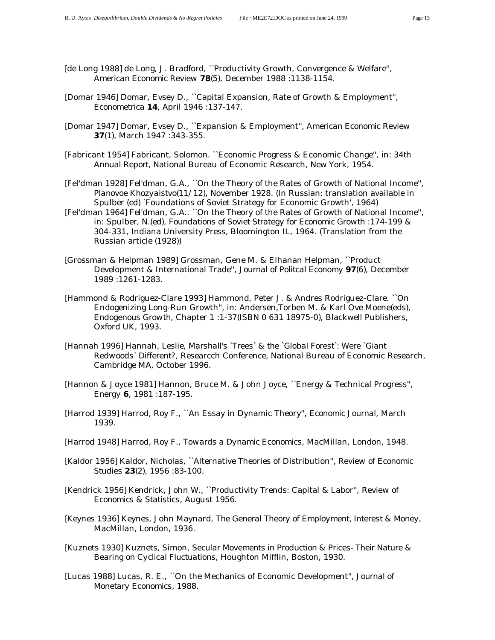- [de Long 1988] de Long, J. Bradford, ``Productivity Growth, Convergence & Welfare'', *American Economic Review* **78**(5), December 1988 :1138-1154.
- [Domar 1946] Domar, Evsey D., ``Capital Expansion, Rate of Growth & Employment'', *Econometrica* **14**, April 1946 :137-147.
- [Domar 1947] Domar, Evsey D., ``Expansion & Employment'', *American Economic Review* **37**(1), March 1947 :343-355.
- [Fabricant 1954] Fabricant, Solomon. ``Economic Progress & Economic Change'', in: *34th Annual Report*, National Bureau of Economic Research, New York, 1954.
- [Fel'dman 1928] Fel'dman, G.A., ``On the Theory of the Rates of Growth of National Income'', *Planovoe Khozyaistvo*(11/12), November 1928. (In Russian: translation available in Spulber (ed) `Foundations of Soviet Strategy for Economic Growth', 1964)
- [Fel'dman 1964] Fel'dman, G.A.. ``On the Theory of the Rates of Growth of National Income'', in: Spulber, N.(ed), *Foundations of Soviet Strategy for Economic Growth* :174-199 & 304-331, Indiana University Press, Bloomington IL, 1964. (Translation from the Russian article (1928))
- [Grossman & Helpman 1989] Grossman, Gene M. & Elhanan Helpman, ``Product Development & International Trade'', *Journal of Politcal Economy* **97**(6), December 1989 :1261-1283.
- [Hammond & Rodriguez-Clare 1993] Hammond, Peter J. & Andres Rodriguez-Clare. ``On Endogenizing Long-Run Growth'', in: Andersen,Torben M. & Karl Ove Moene(eds), *Endogenous Growth*, Chapter 1 :1-37(ISBN 0 631 18975-0), Blackwell Publishers, Oxford UK, 1993.
- [Hannah 1996] Hannah, Leslie, *Marshall's `Trees` & the `Global Forest`: Were `Giant Redwoods` Different?*, Researcch Conference, National Bureau of Economic Research, Cambridge MA, October 1996.
- [Hannon & Joyce 1981] Hannon, Bruce M. & John Joyce, ``Energy & Technical Progress'', *Energy* **6**, 1981 :187-195.
- [Harrod 1939] Harrod, Roy F., ``An Essay in Dynamic Theory'', *Economic Journal*, March 1939.
- [Harrod 1948] Harrod, Roy F., *Towards a Dynamic Economics*, MacMillan, London, 1948.
- [Kaldor 1956] Kaldor, Nicholas, ``Alternative Theories of Distribution'', *Review of Economic Studies* **23**(2), 1956 :83-100.
- [Kendrick 1956] Kendrick, John W., ``Productivity Trends: Capital & Labor'', *Review of Economics & Statistics*, August 1956.
- [Keynes 1936] Keynes, John Maynard, *The General Theory of Employment, Interest & Money*, MacMillan, London, 1936.
- [Kuznets 1930] Kuznets, Simon, *Secular Movements in Production & Prices- Their Nature & Bearing on Cyclical Fluctuations*, Houghton Mifflin, Boston, 1930.
- [Lucas 1988] Lucas, R. E., ``On the Mechanics of Economic Development'', *Journal of Monetary Economics*, 1988.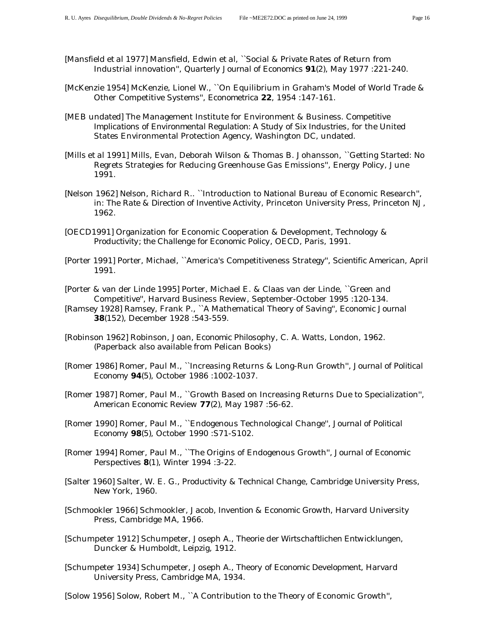- [Mansfield *et al* 1977] Mansfield, Edwin *et al*, ``Social & Private Rates of Return from Industrial innovation'', *Quarterly Journal of Economics* **91**(2), May 1977 :221-240.
- [McKenzie 1954] McKenzie, Lionel W., ``On Equilibrium in Graham's Model of World Trade & Other Competitive Systems'', *Econometrica* **22**, 1954 :147-161.
- [MEB undated] The Management Institute for Environment & Business. *Competitive Implications of Environmental Regulation: A Study of Six Industries*, for the United States Environmental Protection Agency, Washington DC, undated.
- [Mills *et al* 1991] Mills, Evan, Deborah Wilson & Thomas B. Johansson, ``Getting Started: No Regrets Strategies for Reducing Greenhouse Gas Emissions'', *Energy Policy*, June 1991.
- [Nelson 1962] Nelson, Richard R.. ``Introduction to National Bureau of Economic Research'', in: *The Rate & Direction of Inventive Activity*, Princeton University Press, Princeton NJ, 1962.
- [OECD1991] Organization for Economic Cooperation & Development, *Technology & Productivity; the Challenge for Economic Policy*, OECD, Paris, 1991.
- [Porter 1991] Porter, Michael, ``America's Competitiveness Strategy'', *Scientific American*, April 1991.
- [Porter & van der Linde 1995] Porter, Michael E. & Claas van der Linde, ``Green and Competitive'', *Harvard Business Review*, September-October 1995 :120-134.
- [Ramsey 1928] Ramsey, Frank P., ``A Mathematical Theory of Saving'', *Economic Journal* **38**(152), December 1928 :543-559.
- [Robinson 1962] Robinson, Joan, *Economic Philosophy*, C. A. Watts, London, 1962. (Paperback also available from Pelican Books)
- [Romer 1986] Romer, Paul M., ``Increasing Returns & Long-Run Growth'', *Journal of Political Economy* **94**(5), October 1986 :1002-1037.
- [Romer 1987] Romer, Paul M., ``Growth Based on Increasing Returns Due to Specialization'', *American Economic Review* **77**(2), May 1987 :56-62.
- [Romer 1990] Romer, Paul M., ``Endogenous Technological Change'', *Journal of Political Economy* **98**(5), October 1990 :S71-S102.
- [Romer 1994] Romer, Paul M., ``The Origins of Endogenous Growth'', *Journal of Economic Perspectives* **8**(1), Winter 1994 :3-22.
- [Salter 1960] Salter, W. E. G., *Productivity & Technical Change*, Cambridge University Press, New York, 1960.
- [Schmookler 1966] Schmookler, Jacob, *Invention & Economic Growth*, Harvard University Press, Cambridge MA, 1966.
- [Schumpeter 1912] Schumpeter, Joseph A., *Theorie der Wirtschaftlichen Entwicklungen*, Duncker & Humboldt, Leipzig, 1912.
- [Schumpeter 1934] Schumpeter, Joseph A., *Theory of Economic Development*, Harvard University Press, Cambridge MA, 1934.
- [Solow 1956] Solow, Robert M., ``A Contribution to the Theory of Economic Growth'',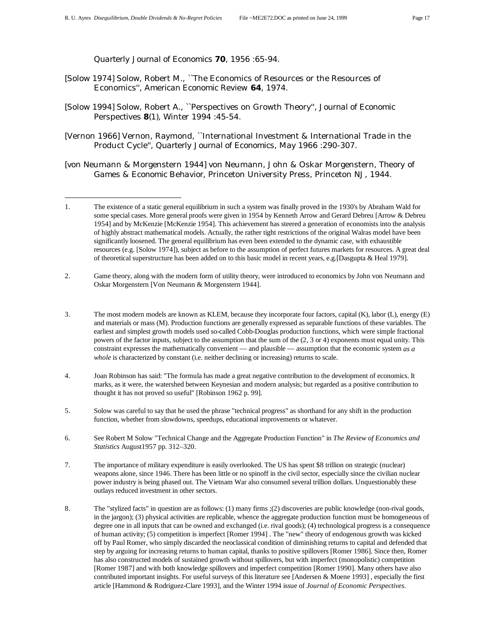$\overline{a}$ 

*Quarterly Journal of Economics* **70**, 1956 :65-94.

- [Solow 1974] Solow, Robert M., ``The Economics of Resources or the Resources of Economics'', *American Economic Review* **64**, 1974.
- [Solow 1994] Solow, Robert A., ``Perspectives on Growth Theory'', *Journal of Economic Perspectives* **8**(1), Winter 1994 :45-54.
- [Vernon 1966] Vernon, Raymond, ``International Investment & International Trade in the Product Cycle'', *Quarterly Journal of Economics*, May 1966 :290-307.
- [von Neumann & Morgenstern 1944] von Neumann, John & Oskar Morgenstern, *Theory of Games & Economic Behavior*, Princeton University Press, Princeton NJ, 1944.

- 2. Game theory, along with the modern form of utility theory, were introduced to economics by John von Neumann and Oskar Morgenstern [Von Neumann & Morgenstern 1944].
- 3. The most modern models are known as KLEM, because they incorporate four factors, capital (K), labor (L), energy (E) and materials or mass (M). Production functions are generally expressed as separable functions of these variables. The earliest and simplest growth models used so-called Cobb-Douglas production functions, which were simple fractional powers of the factor inputs, subject to the assumption that the sum of the (2, 3 or 4) exponents must equal unity. This constraint expresses the mathematically convenient — and plausible — assumption that the economic system *as a whole* is characterized by constant (i.e. neither declining or increasing) returns to scale.
- 4. Joan Robinson has said: "The formula has made a great negative contribution to the development of economics. It marks, as it were, the watershed between Keynesian and modern analysis; but regarded as a positive contribution to thought it has not proved so useful" [Robinson 1962 p. 99].
- 5. Solow was careful to say that he used the phrase "technical progress" as shorthand for any shift in the production function, whether from slowdowns, speedups, educational improvements or whatever.
- 6. See Robert M Solow "Technical Change and the Aggregate Production Function" in *The Review of Economics and Statistics* August1957 pp. 312–320.
- 7. The importance of military expenditure is easily overlooked. The US has spent \$8 trillion on strategic (nuclear) weapons alone, since 1946. There has been little or no spinoff in the civil sector, especially since the civilian nuclear power industry is being phased out. The Vietnam War also consumed several trillion dollars. Unquestionably these outlays reduced investment in other sectors.
- 8. The "stylized facts" in question are as follows: (1) many firms ;(2) discoveries are public knowledge (non-rival goods, in the jargon); (3) physical activities are replicable, whence the aggregate production function must be homogeneous of degree one in all inputs that can be owned and exchanged (i.e. rival goods); (4) technological progress is a consequence of human activity; (5) competition is imperfect [Romer 1994] . The "new" theory of endogenous growth was kicked off by Paul Romer, who simply discarded the neoclassical condition of diminishing returns to capital and defended that step by arguing for increasing returns to human capital, thanks to positive spillovers [Romer 1986]. Since then, Romer has also constructed models of sustained growth without spillovers, but with imperfect (monopolistic) competition [Romer 1987] and with both knowledge spillovers and imperfect competition [Romer 1990]. Many others have also contributed important insights. For useful surveys of this literature see [Andersen & Moene 1993] , especially the first article [Hammond & Rodriguez-Clare 1993], and the Winter 1994 issue of *Journal of Economic Perspectives*.

<sup>1.</sup> The existence of a static general equilibrium in such a system was finally proved in the 1930's by Abraham Wald for some special cases. More general proofs were given in 1954 by Kenneth Arrow and Gerard Debreu [Arrow & Debreu 1954] and by McKenzie [McKenzie 1954]. This achievement has steered a generation of economists into the analysis of highly abstract mathematical models. Actually, the rather tight restrictions of the original Walras model have been significantly loosened. The general equilibrium has even been extended to the dynamic case, with exhaustible resources (e.g. [Solow 1974]), subject as before to the assumption of perfect futures markets for resources. A great deal of theoretical superstructure has been added on to this basic model in recent years, e.g.[Dasgupta & Heal 1979].